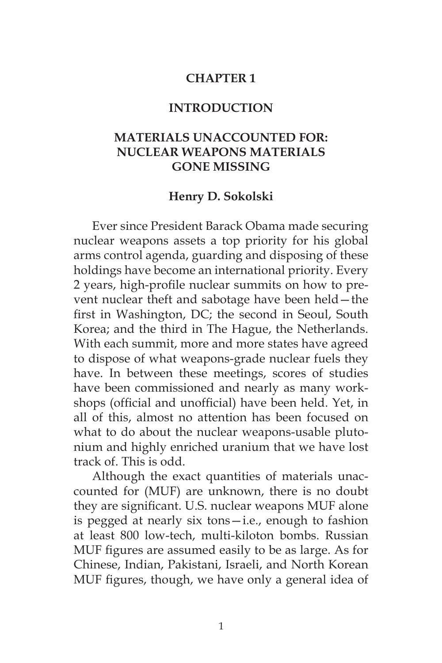## **CHAPTER 1**

## **INTRODUCTION**

## **MATERIALS UNACCOUNTED FOR: NUCLEAR WEAPONS MATERIALS GONE MISSING**

## **Henry D. Sokolski**

Ever since President Barack Obama made securing nuclear weapons assets a top priority for his global arms control agenda, guarding and disposing of these holdings have become an international priority. Every 2 years, high-profile nuclear summits on how to prevent nuclear theft and sabotage have been held—the first in Washington, DC; the second in Seoul, South Korea; and the third in The Hague, the Netherlands. With each summit, more and more states have agreed to dispose of what weapons-grade nuclear fuels they have. In between these meetings, scores of studies have been commissioned and nearly as many workshops (official and unofficial) have been held. Yet, in all of this, almost no attention has been focused on what to do about the nuclear weapons-usable plutonium and highly enriched uranium that we have lost track of. This is odd.

Although the exact quantities of materials unaccounted for (MUF) are unknown, there is no doubt they are significant. U.S. nuclear weapons MUF alone is pegged at nearly six tons—i.e., enough to fashion at least 800 low-tech, multi-kiloton bombs. Russian MUF figures are assumed easily to be as large. As for Chinese, Indian, Pakistani, Israeli, and North Korean MUF figures, though, we have only a general idea of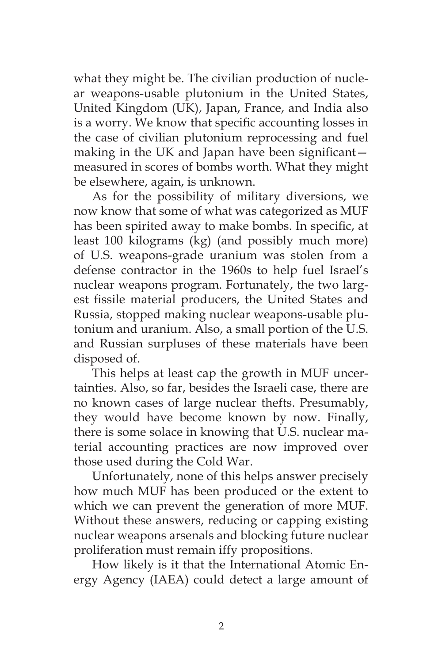what they might be. The civilian production of nuclear weapons-usable plutonium in the United States, United Kingdom (UK), Japan, France, and India also is a worry. We know that specific accounting losses in the case of civilian plutonium reprocessing and fuel making in the UK and Japan have been significant measured in scores of bombs worth. What they might be elsewhere, again, is unknown.

As for the possibility of military diversions, we now know that some of what was categorized as MUF has been spirited away to make bombs. In specific, at least 100 kilograms (kg) (and possibly much more) of U.S. weapons-grade uranium was stolen from a defense contractor in the 1960s to help fuel Israel's nuclear weapons program. Fortunately, the two largest fissile material producers, the United States and Russia, stopped making nuclear weapons-usable plutonium and uranium. Also, a small portion of the U.S. and Russian surpluses of these materials have been disposed of.

This helps at least cap the growth in MUF uncertainties. Also, so far, besides the Israeli case, there are no known cases of large nuclear thefts. Presumably, they would have become known by now. Finally, there is some solace in knowing that U.S. nuclear material accounting practices are now improved over those used during the Cold War.

Unfortunately, none of this helps answer precisely how much MUF has been produced or the extent to which we can prevent the generation of more MUF. Without these answers, reducing or capping existing nuclear weapons arsenals and blocking future nuclear proliferation must remain iffy propositions.

How likely is it that the International Atomic Energy Agency (IAEA) could detect a large amount of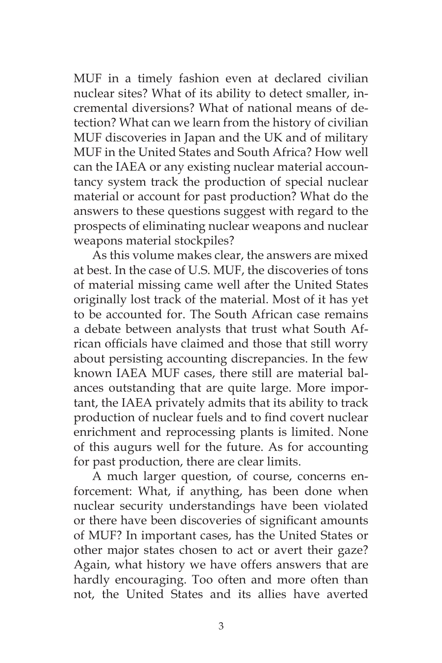MUF in a timely fashion even at declared civilian nuclear sites? What of its ability to detect smaller, incremental diversions? What of national means of detection? What can we learn from the history of civilian MUF discoveries in Japan and the UK and of military MUF in the United States and South Africa? How well can the IAEA or any existing nuclear material accountancy system track the production of special nuclear material or account for past production? What do the answers to these questions suggest with regard to the prospects of eliminating nuclear weapons and nuclear weapons material stockpiles?

As this volume makes clear, the answers are mixed at best. In the case of U.S. MUF, the discoveries of tons of material missing came well after the United States originally lost track of the material. Most of it has yet to be accounted for. The South African case remains a debate between analysts that trust what South African officials have claimed and those that still worry about persisting accounting discrepancies. In the few known IAEA MUF cases, there still are material balances outstanding that are quite large. More important, the IAEA privately admits that its ability to track production of nuclear fuels and to find covert nuclear enrichment and reprocessing plants is limited. None of this augurs well for the future. As for accounting for past production, there are clear limits.

A much larger question, of course, concerns enforcement: What, if anything, has been done when nuclear security understandings have been violated or there have been discoveries of significant amounts of MUF? In important cases, has the United States or other major states chosen to act or avert their gaze? Again, what history we have offers answers that are hardly encouraging. Too often and more often than not, the United States and its allies have averted